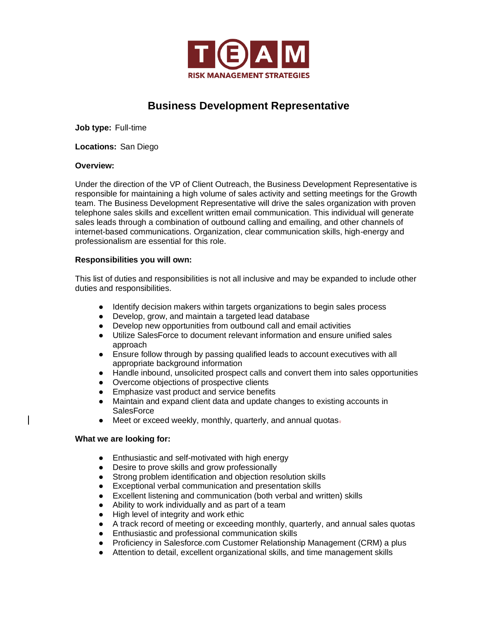

# **Business Development Representative**

**Job type:** Full-time

**Locations:** San Diego

## **Overview:**

Under the direction of the VP of Client Outreach, the Business Development Representative is responsible for maintaining a high volume of sales activity and setting meetings for the Growth team. The Business Development Representative will drive the sales organization with proven telephone sales skills and excellent written email communication. This individual will generate sales leads through a combination of outbound calling and emailing, and other channels of internet-based communications. Organization, clear communication skills, high-energy and professionalism are essential for this role.

## **Responsibilities you will own:**

This list of duties and responsibilities is not all inclusive and may be expanded to include other duties and responsibilities.

- Identify decision makers within targets organizations to begin sales process
- Develop, grow, and maintain a targeted lead database
- Develop new opportunities from outbound call and email activities
- Utilize SalesForce to document relevant information and ensure unified sales approach
- Ensure follow through by passing qualified leads to account executives with all appropriate background information
- Handle inbound, unsolicited prospect calls and convert them into sales opportunities
- Overcome objections of prospective clients
- Emphasize vast product and service benefits
- Maintain and expand client data and update changes to existing accounts in **SalesForce**
- Meet or exceed weekly, monthly, quarterly, and annual quotas-

## **What we are looking for:**

- Enthusiastic and self-motivated with high energy
- Desire to prove skills and grow professionally
- Strong problem identification and objection resolution skills
- Exceptional verbal communication and presentation skills
- Excellent listening and communication (both verbal and written) skills
- Ability to work individually and as part of a team
- High level of integrity and work ethic
- A track record of meeting or exceeding monthly, quarterly, and annual sales quotas
- Enthusiastic and professional communication skills
- Proficiency in Salesforce.com Customer Relationship Management (CRM) a plus
- Attention to detail, excellent organizational skills, and time management skills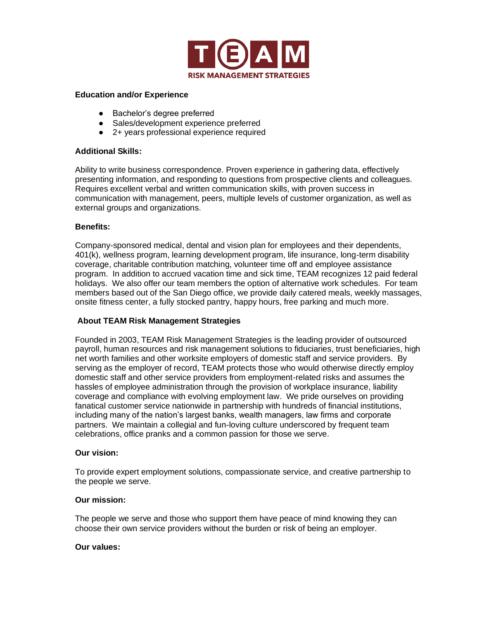

#### **Education and/or Experience**

- Bachelor's degree preferred
- Sales/development experience preferred
- 2+ years professional experience required

## **Additional Skills:**

Ability to write business correspondence. Proven experience in gathering data, effectively presenting information, and responding to questions from prospective clients and colleagues. Requires excellent verbal and written communication skills, with proven success in communication with management, peers, multiple levels of customer organization, as well as external groups and organizations.

## **Benefits:**

Company-sponsored medical, dental and vision plan for employees and their dependents, 401(k), wellness program, learning development program, life insurance, long-term disability coverage, charitable contribution matching, volunteer time off and employee assistance program. In addition to accrued vacation time and sick time, TEAM recognizes 12 paid federal holidays. We also offer our team members the option of alternative work schedules. For team members based out of the San Diego office, we provide daily catered meals, weekly massages, onsite fitness center, a fully stocked pantry, happy hours, free parking and much more.

## **About TEAM Risk Management Strategies**

Founded in 2003, TEAM Risk Management Strategies is the leading provider of outsourced payroll, human resources and risk management solutions to fiduciaries, trust beneficiaries, high net worth families and other worksite employers of domestic staff and service providers. By serving as the employer of record, TEAM protects those who would otherwise directly employ domestic staff and other service providers from employment-related risks and assumes the hassles of employee administration through the provision of workplace insurance, liability coverage and compliance with evolving employment law. We pride ourselves on providing fanatical customer service nationwide in partnership with hundreds of financial institutions, including many of the nation's largest banks, wealth managers, law firms and corporate partners. We maintain a collegial and fun-loving culture underscored by frequent team celebrations, office pranks and a common passion for those we serve.

## **Our vision:**

To provide expert employment solutions, compassionate service, and creative partnership to the people we serve.

## **Our mission:**

The people we serve and those who support them have peace of mind knowing they can choose their own service providers without the burden or risk of being an employer.

#### **Our values:**